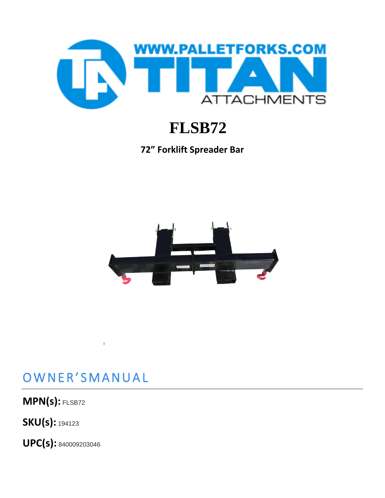

# **FLSB72**

**72" Forklift Spreader Bar**



#### OWNER'SMANUAL

**-**

**MPN(s):** FLSB72

**SKU(s):** <sup>194123</sup>

**UPC(s):** <sup>840009203046</sup>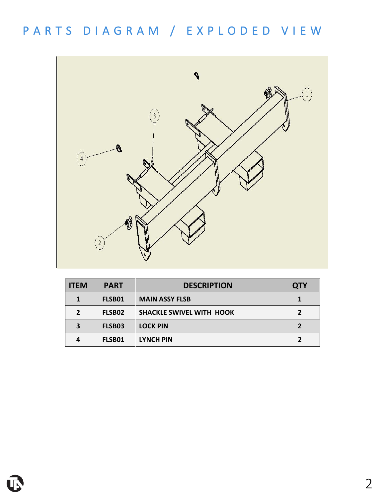### P A R T S D I A G R A M / E X P L O D E D V I E W



| <b>ITEM</b>  | <b>PART</b> | <b>DESCRIPTION</b>              | <b>QTY</b> |
|--------------|-------------|---------------------------------|------------|
|              | FLSB01      | <b>MAIN ASSY FLSB</b>           |            |
| $\mathbf{z}$ | FLSB02      | <b>SHACKLE SWIVEL WITH HOOK</b> |            |
| 3            | FLSB03      | <b>LOCK PIN</b>                 |            |
| 4            | FLSB01      | <b>LYNCH PIN</b>                |            |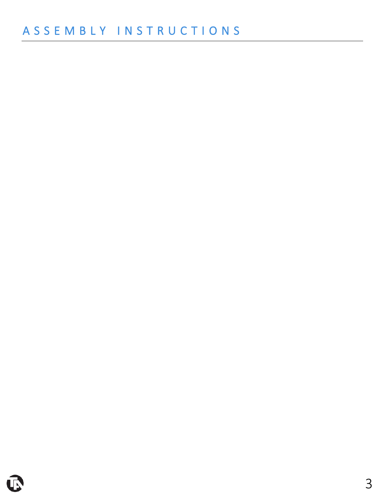